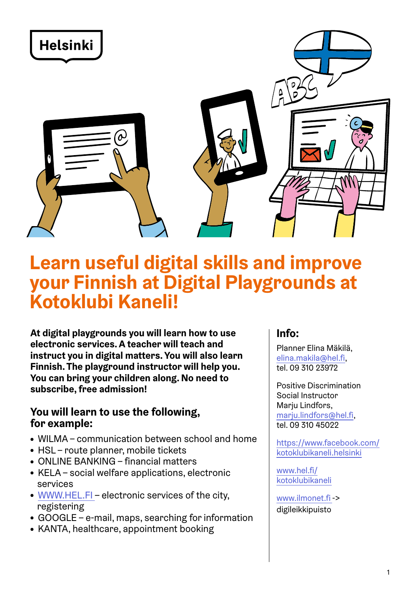

# **Learn useful digital skills and improve your Finnish at Digital Playgrounds at Kotoklubi Kaneli!**

**At digital playgrounds you will learn how to use electronic services. A teacher will teach and instruct you in digital matters. You will also learn Finnish. The playground instructor will help you. You can bring your children along. No need to subscribe, free admission!**

#### **You will learn to use the following, for example:**

- WILMA communication between school and home
- HSL route planner, mobile tickets
- ONLINE BANKING financial matters
- KELA social welfare applications, electronic services
- $\bullet$  [WWW.HEL.FI](https://www.hel.fi/helsinki/fi)  electronic services of the city, registering
- GOOGLE e-mail, maps, searching for information
- KANTA, healthcare, appointment booking

# **Info:**

Planner Elina Mäkilä, [elina.makila@hel.fi](mailto:elina.makila%40hel.fi?subject=), tel. 09 310 23972

Positive Discrimination Social Instructor Mariu Lindfors, [marju.lindfors@hel.fi](mailto:marju.lindfors%40hel.fi?subject=), tel. 09 310 45022

[https://www.facebook.com/](https://www.facebook.com/kotoklubikaneli.helsinki) [kotoklubikaneli.helsinki](https://www.facebook.com/kotoklubikaneli.helsinki)

[www.hel.fi/](https://www.hel.fi/helsinki/fi/kasvatus-ja-koulutus/leikki-ja-avoin-toiminta/perheiden-aamupaivatoiminta/suomea-toiminnallisesti-ryhmissa/) [kotoklubikaneli](https://www.hel.fi/helsinki/fi/kasvatus-ja-koulutus/leikki-ja-avoin-toiminta/perheiden-aamupaivatoiminta/suomea-toiminnallisesti-ryhmissa/)

[www.ilmonet.fi](https://ilmonet.fi/) -> digileikkipuisto